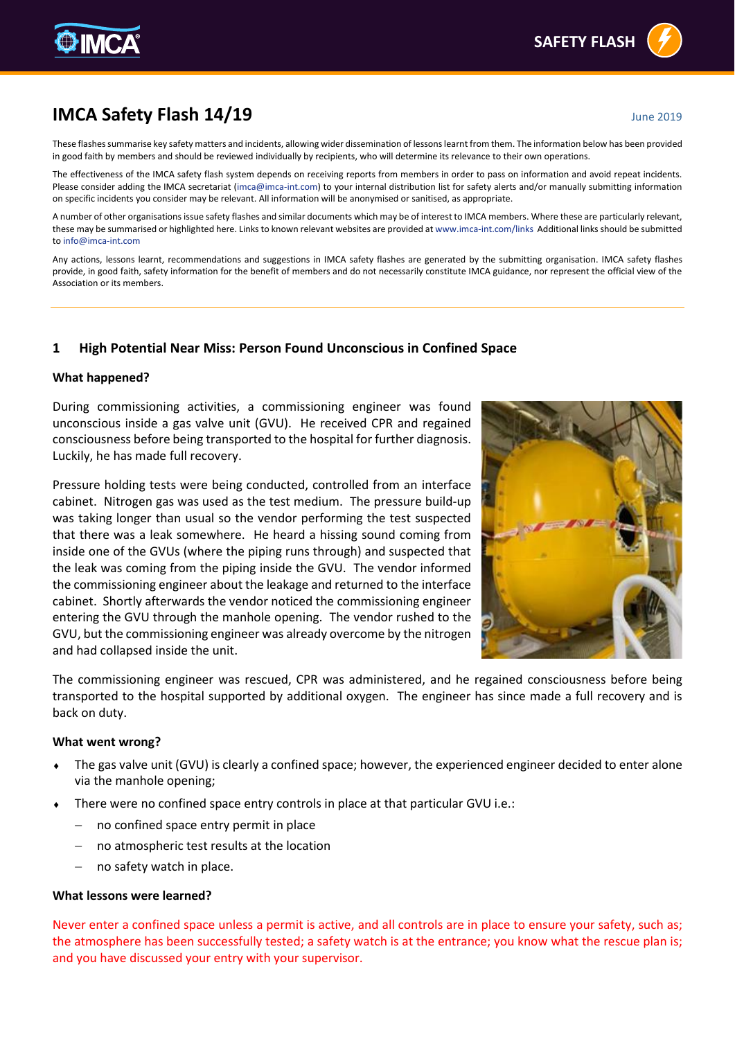# **IMCA Safety Flash 14/19** June 2019

These flashes summarise key safety matters and incidents, allowing wider dissemination of lessons learnt from them. The information below has been provided in good faith by members and should be reviewed individually by recipients, who will determine its relevance to their own operations.

The effectiveness of the IMCA safety flash system depends on receiving reports from members in order to pass on information and avoid repeat incidents. Please consider adding the IMCA secretariat [\(imca@imca-int.com\)](mailto:imca@imca-int.com) to your internal distribution list for safety alerts and/or manually submitting information on specific incidents you consider may be relevant. All information will be anonymised or sanitised, as appropriate.

A number of other organisations issue safety flashes and similar documents which may be of interest to IMCA members. Where these are particularly relevant, these may be summarised or highlighted here. Links to known relevant websites are provided a[t www.imca-int.com/links](http://www.imca-int.com/links) Additional links should be submitted t[o info@imca-int.com](mailto:info@imca-int.com)

Any actions, lessons learnt, recommendations and suggestions in IMCA safety flashes are generated by the submitting organisation. IMCA safety flashes provide, in good faith, safety information for the benefit of members and do not necessarily constitute IMCA guidance, nor represent the official view of the Association or its members.

# **1 High Potential Near Miss: Person Found Unconscious in Confined Space**

#### **What happened?**

During commissioning activities, a commissioning engineer was found unconscious inside a gas valve unit (GVU). He received CPR and regained consciousness before being transported to the hospital for further diagnosis. Luckily, he has made full recovery.

Pressure holding tests were being conducted, controlled from an interface cabinet. Nitrogen gas was used as the test medium. The pressure build-up was taking longer than usual so the vendor performing the test suspected that there was a leak somewhere. He heard a hissing sound coming from inside one of the GVUs (where the piping runs through) and suspected that the leak was coming from the piping inside the GVU. The vendor informed the commissioning engineer about the leakage and returned to the interface cabinet. Shortly afterwards the vendor noticed the commissioning engineer entering the GVU through the manhole opening. The vendor rushed to the GVU, but the commissioning engineer was already overcome by the nitrogen and had collapsed inside the unit.



The commissioning engineer was rescued, CPR was administered, and he regained consciousness before being transported to the hospital supported by additional oxygen. The engineer has since made a full recovery and is back on duty.

#### **What went wrong?**

- The gas valve unit (GVU) is clearly a confined space; however, the experienced engineer decided to enter alone via the manhole opening;
- There were no confined space entry controls in place at that particular GVU i.e.:
	- no confined space entry permit in place
	- no atmospheric test results at the location
	- no safety watch in place.

#### **What lessons were learned?**

Never enter a confined space unless a permit is active, and all controls are in place to ensure your safety, such as; the atmosphere has been successfully tested; a safety watch is at the entrance; you know what the rescue plan is; and you have discussed your entry with your supervisor.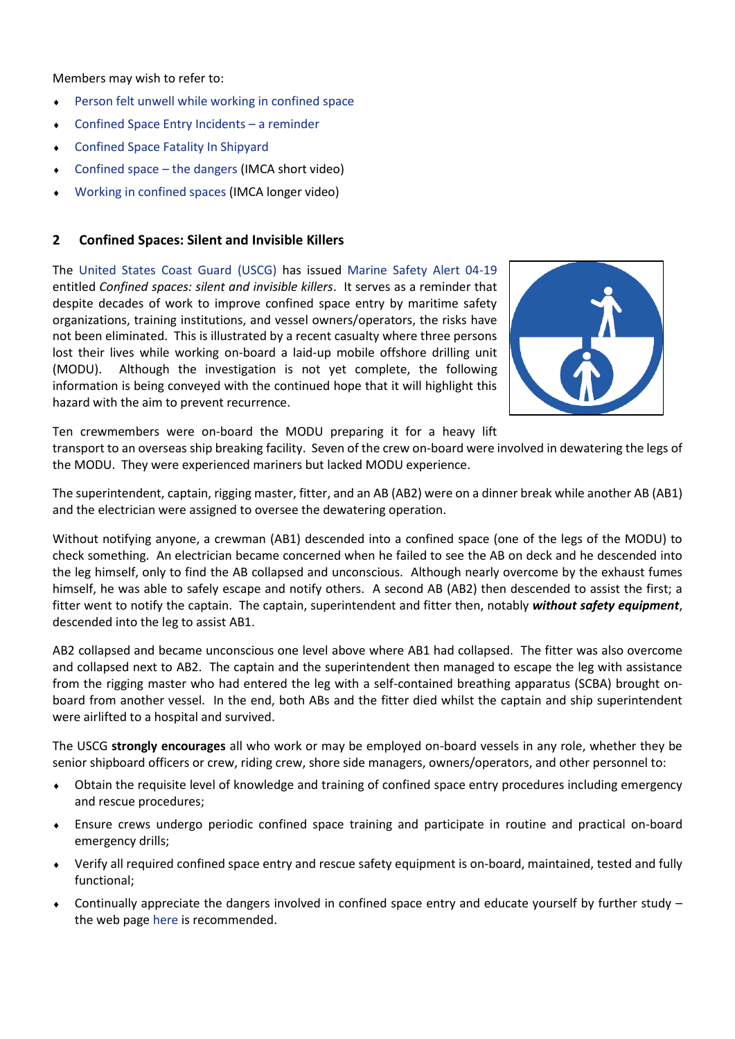Members may wish to refer to:

- [Person felt unwell while working in confined space](https://www.imca-int.com/alert/1485/person-felt-unwell-while-working-in-confined-space/)
- [Confined Space Entry Incidents](https://www.imca-int.com/alert/979/confined-space-entry-incidents-a-reminder/)  a reminder
- [Confined Space Fatality In Shipyard](https://www.imca-int.com/alert/952/confined-space-fatality-in-shipyard/)
- [Confined space](https://www.imca-int.com/publications/422/confined-spaces-the-dangers/)  the dangers (IMCA short video)
- [Working in confined spaces](https://www.imca-int.com/publications/350/working-in-confined-spaces/) (IMCA longer video)

# **2 Confined Spaces: Silent and Invisible Killers**

The [United States Coast Guard \(USCG\)](https://www.uscg.mil/) has issued [Marine Safety Alert 04-19](https://www.dco.uscg.mil/Portals/9/DCO%20Documents/5p/CG-5PC/INV/Alerts/0419.pdf) entitled *Confined spaces: silent and invisible killers*. It serves as a reminder that despite decades of work to improve confined space entry by maritime safety organizations, training institutions, and vessel owners/operators, the risks have not been eliminated. This is illustrated by a recent casualty where three persons lost their lives while working on-board a laid-up mobile offshore drilling unit (MODU). Although the investigation is not yet complete, the following information is being conveyed with the continued hope that it will highlight this hazard with the aim to prevent recurrence.



Ten crewmembers were on-board the MODU preparing it for a heavy lift

transport to an overseas ship breaking facility. Seven of the crew on-board were involved in dewatering the legs of the MODU. They were experienced mariners but lacked MODU experience.

The superintendent, captain, rigging master, fitter, and an AB (AB2) were on a dinner break while another AB (AB1) and the electrician were assigned to oversee the dewatering operation.

Without notifying anyone, a crewman (AB1) descended into a confined space (one of the legs of the MODU) to check something. An electrician became concerned when he failed to see the AB on deck and he descended into the leg himself, only to find the AB collapsed and unconscious. Although nearly overcome by the exhaust fumes himself, he was able to safely escape and notify others. A second AB (AB2) then descended to assist the first; a fitter went to notify the captain. The captain, superintendent and fitter then, notably *without safety equipment*, descended into the leg to assist AB1.

AB2 collapsed and became unconscious one level above where AB1 had collapsed. The fitter was also overcome and collapsed next to AB2. The captain and the superintendent then managed to escape the leg with assistance from the rigging master who had entered the leg with a self-contained breathing apparatus (SCBA) brought onboard from another vessel. In the end, both ABs and the fitter died whilst the captain and ship superintendent were airlifted to a hospital and survived.

The USCG **strongly encourages** all who work or may be employed on-board vessels in any role, whether they be senior shipboard officers or crew, riding crew, shore side managers, owners/operators, and other personnel to:

- Obtain the requisite level of knowledge and training of confined space entry procedures including emergency and rescue procedures;
- Ensure crews undergo periodic confined space training and participate in routine and practical on-board emergency drills;
- Verify all required confined space entry and rescue safety equipment is on-board, maintained, tested and fully functional;
- $\bullet$  Continually appreciate the dangers involved in confined space entry and educate yourself by further study the web page [here](https://www.dco.uscg.mil/Our-Organization/Assistant-Commandant-for-Prevention-Policy-CG-5P/Inspections-Compliance-CG-5PC-/Office-of-Investigations-Casualty-Analysis/Confined-Space-Entry/) is recommended.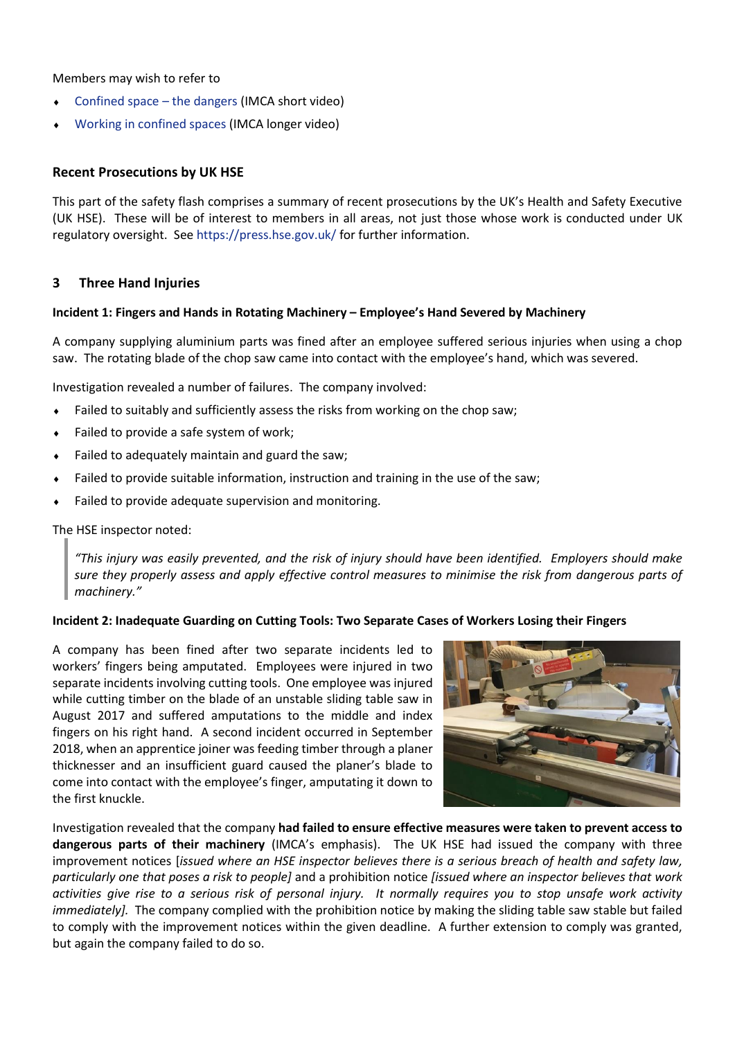Members may wish to refer to

- [Confined space](https://www.imca-int.com/publications/422/confined-spaces-the-dangers/)  the dangers (IMCA short video)
- [Working in confined spaces](https://www.imca-int.com/publications/350/working-in-confined-spaces/) (IMCA longer video)

## **Recent Prosecutions by UK HSE**

This part of the safety flash comprises a summary of recent prosecutions by the UK's Health and Safety Executive (UK HSE). These will be of interest to members in all areas, not just those whose work is conducted under UK regulatory oversight. See<https://press.hse.gov.uk/> for further information.

## **3 Three Hand Injuries**

## **Incident 1: Fingers and Hands in Rotating Machinery – Employee's Hand Severed by Machinery**

A company supplying aluminium parts was fined after an employee suffered serious injuries when using a chop saw. The rotating blade of the chop saw came into contact with the employee's hand, which was severed.

Investigation revealed a number of failures. The company involved:

- Failed to suitably and sufficiently assess the risks from working on the chop saw;
- ◆ Failed to provide a safe system of work;
- Failed to adequately maintain and guard the saw;
- Failed to provide suitable information, instruction and training in the use of the saw;
- Failed to provide adequate supervision and monitoring.

## The HSE inspector noted:

*"This injury was easily prevented, and the risk of injury should have been identified. Employers should make sure they properly assess and apply effective control measures to minimise the risk from dangerous parts of machinery."*

#### **Incident 2: Inadequate Guarding on Cutting Tools: Two Separate Cases of Workers Losing their Fingers**

A company has been fined after two separate incidents led to workers' fingers being amputated. Employees were injured in two separate incidents involving cutting tools. One employee was injured while cutting timber on the blade of an unstable sliding table saw in August 2017 and suffered amputations to the middle and index fingers on his right hand. A second incident occurred in September 2018, when an apprentice joiner was feeding timber through a planer thicknesser and an insufficient guard caused the planer's blade to come into contact with the employee's finger, amputating it down to the first knuckle.



Investigation revealed that the company **had failed to ensure effective measures were taken to prevent access to dangerous parts of their machinery** (IMCA's emphasis). The UK HSE had issued the company with three improvement notices [*issued where an HSE inspector believes there is a serious breach of health and safety law, particularly one that poses a risk to people]* and a prohibition notice *[issued where an inspector believes that work activities give rise to a serious risk of personal injury. It normally requires you to stop unsafe work activity immediately].* The company complied with the prohibition notice by making the sliding table saw stable but failed to comply with the improvement notices within the given deadline. A further extension to comply was granted, but again the company failed to do so.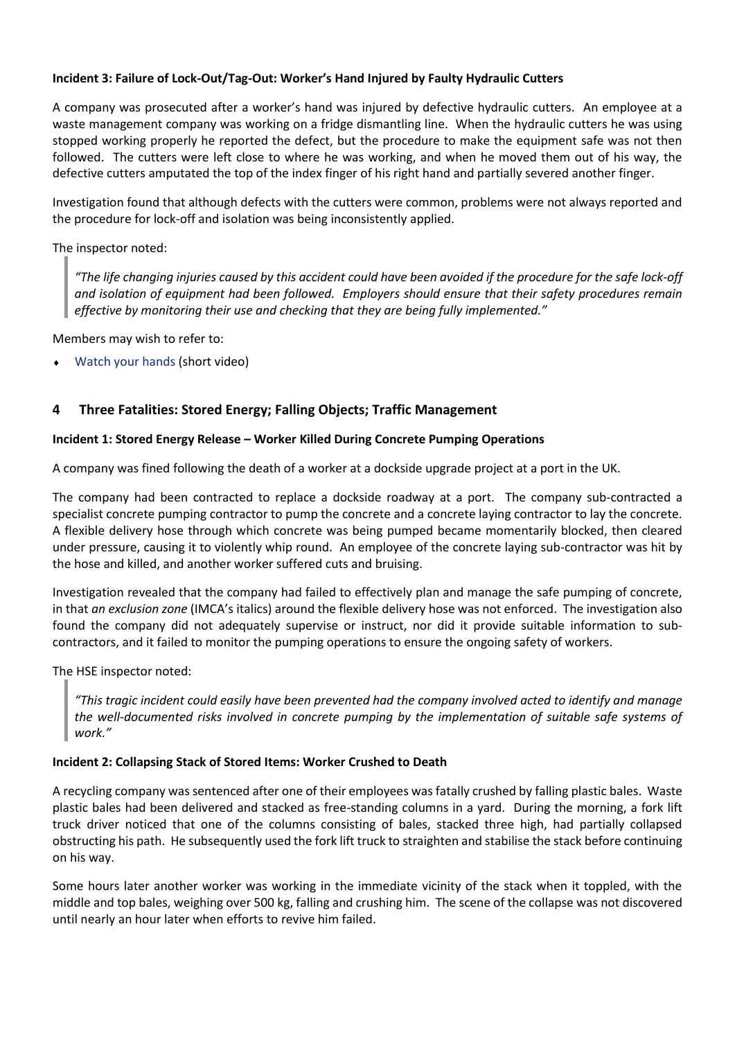## **Incident 3: Failure of Lock-Out/Tag-Out: Worker's Hand Injured by Faulty Hydraulic Cutters**

A company was prosecuted after a worker's hand was injured by defective hydraulic cutters. An employee at a waste management company was working on a fridge dismantling line. When the hydraulic cutters he was using stopped working properly he reported the defect, but the procedure to make the equipment safe was not then followed. The cutters were left close to where he was working, and when he moved them out of his way, the defective cutters amputated the top of the index finger of his right hand and partially severed another finger.

Investigation found that although defects with the cutters were common, problems were not always reported and the procedure for lock-off and isolation was being inconsistently applied.

## The inspector noted:

*"The life changing injuries caused by this accident could have been avoided if the procedure for the safe lock-off and isolation of equipment had been followed. Employers should ensure that their safety procedures remain effective by monitoring their use and checking that they are being fully implemented."*

Members may wish to refer to:

[Watch your hands](https://www.imca-int.com/publications/418/watch-your-hands/) (short video)

# **4 Three Fatalities: Stored Energy; Falling Objects; Traffic Management**

## **Incident 1: Stored Energy Release – Worker Killed During Concrete Pumping Operations**

A company was fined following the death of a worker at a dockside upgrade project at a port in the UK.

The company had been contracted to replace a dockside roadway at a port. The company sub-contracted a specialist concrete pumping contractor to pump the concrete and a concrete laying contractor to lay the concrete. A flexible delivery hose through which concrete was being pumped became momentarily blocked, then cleared under pressure, causing it to violently whip round. An employee of the concrete laying sub-contractor was hit by the hose and killed, and another worker suffered cuts and bruising.

Investigation revealed that the company had failed to effectively plan and manage the safe pumping of concrete, in that *an exclusion zone* (IMCA's italics) around the flexible delivery hose was not enforced. The investigation also found the company did not adequately supervise or instruct, nor did it provide suitable information to subcontractors, and it failed to monitor the pumping operations to ensure the ongoing safety of workers.

The HSE inspector noted:

*"This tragic incident could easily have been prevented had the company involved acted to identify and manage the well-documented risks involved in concrete pumping by the implementation of suitable safe systems of work."*

## **Incident 2: Collapsing Stack of Stored Items: Worker Crushed to Death**

A recycling company was sentenced after one of their employees was fatally crushed by falling plastic bales. Waste plastic bales had been delivered and stacked as free-standing columns in a yard. During the morning, a fork lift truck driver noticed that one of the columns consisting of bales, stacked three high, had partially collapsed obstructing his path. He subsequently used the fork lift truck to straighten and stabilise the stack before continuing on his way.

Some hours later another worker was working in the immediate vicinity of the stack when it toppled, with the middle and top bales, weighing over 500 kg, falling and crushing him. The scene of the collapse was not discovered until nearly an hour later when efforts to revive him failed.